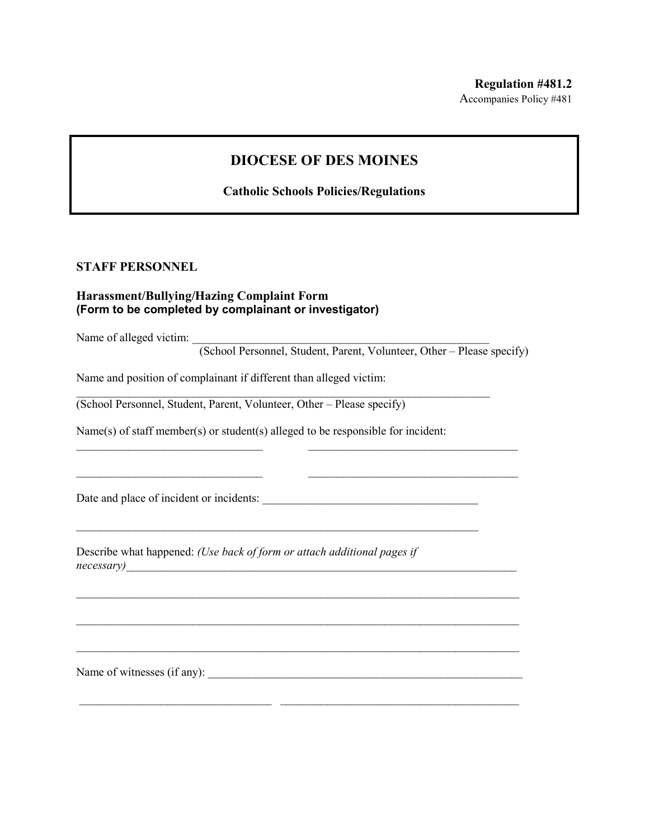## **DIOCESE OF DES MOINES**

**Catholic Schools Policies/Regulations**

## **STAFF PERSONNEL**

## **Harassment/Bullying/Hazing Complaint Form (Form to be completed by complainant or investigator)**

Name of alleged victim:

(School Personnel, Student, Parent, Volunteer, Other – Please specify)

Name and position of complainant if different than alleged victim:

(School Personnel, Student, Parent, Volunteer, Other – Please specify)

Name(s) of staff member(s) or student(s) alleged to be responsible for incident:

 $\mathcal{L}_\text{max}$  , and the contribution of the contribution of the contribution of the contribution of the contribution of the contribution of the contribution of the contribution of the contribution of the contribution of t

 $\mathcal{L}_\text{max}$  , and the contribution of the contribution of the contribution of the contribution of the contribution of the contribution of the contribution of the contribution of the contribution of the contribution of t

\_\_\_\_\_\_\_\_\_\_\_\_\_\_\_\_\_\_\_\_\_\_\_\_\_\_\_\_\_\_\_\_ \_\_\_\_\_\_\_\_\_\_\_\_\_\_\_\_\_\_\_\_\_\_\_\_\_\_\_\_\_\_\_\_\_\_\_\_

 $\mathcal{L}_\text{max}$  and  $\mathcal{L}_\text{max}$  and  $\mathcal{L}_\text{max}$  and  $\mathcal{L}_\text{max}$  and  $\mathcal{L}_\text{max}$  and  $\mathcal{L}_\text{max}$ 

 $\mathcal{L}_\text{max}$  and  $\mathcal{L}_\text{max}$  and  $\mathcal{L}_\text{max}$  and  $\mathcal{L}_\text{max}$  and  $\mathcal{L}_\text{max}$  and  $\mathcal{L}_\text{max}$ 

 $\mathcal{L}_\text{max}$  and  $\mathcal{L}_\text{max}$  and  $\mathcal{L}_\text{max}$  and  $\mathcal{L}_\text{max}$  and  $\mathcal{L}_\text{max}$  and  $\mathcal{L}_\text{max}$ 

 $\_$  , and the set of the set of the set of the set of the set of the set of the set of the set of the set of the set of the set of the set of the set of the set of the set of the set of the set of the set of the set of th

\_\_\_\_\_\_\_\_\_\_\_\_\_\_\_\_\_\_\_\_\_\_\_\_\_\_\_\_\_\_\_\_\_\_\_\_\_\_\_\_\_\_\_\_\_\_\_\_\_\_\_\_\_\_\_\_\_\_\_\_\_\_\_\_\_\_\_\_\_

Date and place of incident or incidents:

Describe what happened: *(Use back of form or attach additional pages if necessary*)

Name of witnesses (if any): \_\_\_\_\_\_\_\_\_\_\_\_\_\_\_\_\_\_\_\_\_\_\_\_\_\_\_\_\_\_\_\_\_\_\_\_\_\_\_\_\_\_\_\_\_\_\_\_\_\_\_\_\_\_